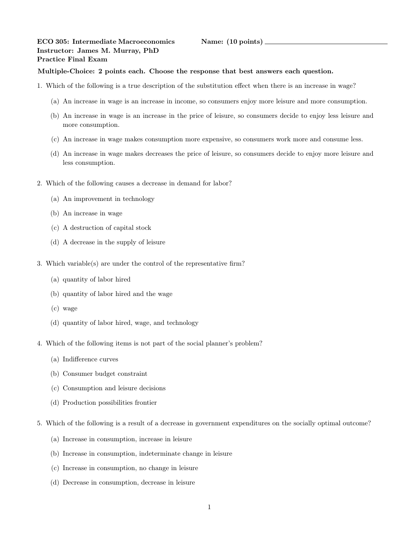## ECO 305: Intermediate Macroeconomics Name: (10 points) \_ Instructor: James M. Murray, PhD Practice Final Exam

## Multiple-Choice: 2 points each. Choose the response that best answers each question.

- 1. Which of the following is a true description of the substitution effect when there is an increase in wage?
	- (a) An increase in wage is an increase in income, so consumers enjoy more leisure and more consumption.
	- (b) An increase in wage is an increase in the price of leisure, so consumers decide to enjoy less leisure and more consumption.
	- (c) An increase in wage makes consumption more expensive, so consumers work more and consume less.
	- (d) An increase in wage makes decreases the price of leisure, so consumers decide to enjoy more leisure and less consumption.
- 2. Which of the following causes a decrease in demand for labor?
	- (a) An improvement in technology
	- (b) An increase in wage
	- (c) A destruction of capital stock
	- (d) A decrease in the supply of leisure
- 3. Which variable(s) are under the control of the representative firm?
	- (a) quantity of labor hired
	- (b) quantity of labor hired and the wage
	- (c) wage
	- (d) quantity of labor hired, wage, and technology
- 4. Which of the following items is not part of the social planner's problem?
	- (a) Indifference curves
	- (b) Consumer budget constraint
	- (c) Consumption and leisure decisions
	- (d) Production possibilities frontier
- 5. Which of the following is a result of a decrease in government expenditures on the socially optimal outcome?
	- (a) Increase in consumption, increase in leisure
	- (b) Increase in consumption, indeterminate change in leisure
	- (c) Increase in consumption, no change in leisure
	- (d) Decrease in consumption, decrease in leisure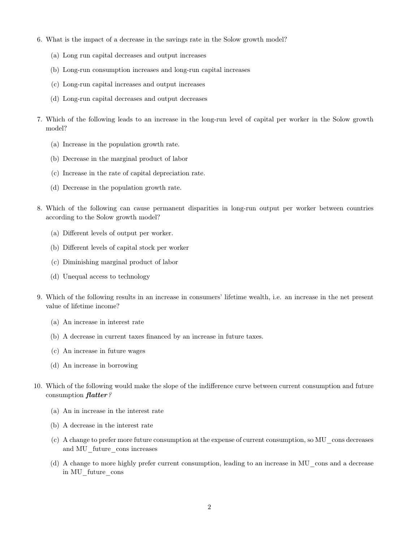- 6. What is the impact of a decrease in the savings rate in the Solow growth model?
	- (a) Long run capital decreases and output increases
	- (b) Long-run consumption increases and long-run capital increases
	- (c) Long-run capital increases and output increases
	- (d) Long-run capital decreases and output decreases
- 7. Which of the following leads to an increase in the long-run level of capital per worker in the Solow growth model?
	- (a) Increase in the population growth rate.
	- (b) Decrease in the marginal product of labor
	- (c) Increase in the rate of capital depreciation rate.
	- (d) Decrease in the population growth rate.
- 8. Which of the following can cause permanent disparities in long-run output per worker between countries according to the Solow growth model?
	- (a) Different levels of output per worker.
	- (b) Different levels of capital stock per worker
	- (c) Diminishing marginal product of labor
	- (d) Unequal access to technology
- 9. Which of the following results in an increase in consumers' lifetime wealth, i.e. an increase in the net present value of lifetime income?
	- (a) An increase in interest rate
	- (b) A decrease in current taxes financed by an increase in future taxes.
	- (c) An increase in future wages
	- (d) An increase in borrowing
- 10. Which of the following would make the slope of the indifference curve between current consumption and future consumption flatter?
	- (a) An in increase in the interest rate
	- (b) A decrease in the interest rate
	- (c) A change to prefer more future consumption at the expense of current consumption, so MU\_cons decreases and MU\_future\_cons increases
	- (d) A change to more highly prefer current consumption, leading to an increase in MU\_cons and a decrease in MU\_future\_cons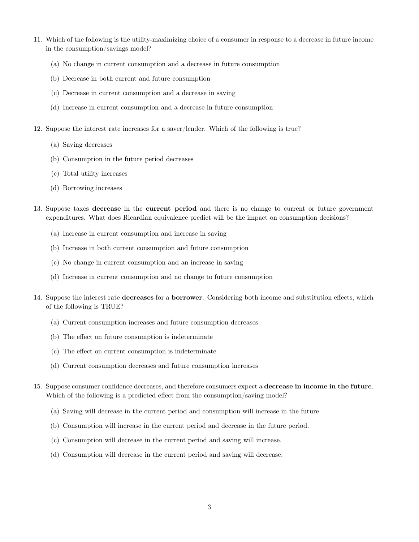- 11. Which of the following is the utility-maximizing choice of a consumer in response to a decrease in future income in the consumption/savings model?
	- (a) No change in current consumption and a decrease in future consumption
	- (b) Decrease in both current and future consumption
	- (c) Decrease in current consumption and a decrease in saving
	- (d) Increase in current consumption and a decrease in future consumption
- 12. Suppose the interest rate increases for a saver/lender. Which of the following is true?
	- (a) Saving decreases
	- (b) Consumption in the future period decreases
	- (c) Total utility increases
	- (d) Borrowing increases
- 13. Suppose taxes decrease in the current period and there is no change to current or future government expenditures. What does Ricardian equivalence predict will be the impact on consumption decisions?
	- (a) Increase in current consumption and increase in saving
	- (b) Increase in both current consumption and future consumption
	- (c) No change in current consumption and an increase in saving
	- (d) Increase in current consumption and no change to future consumption
- 14. Suppose the interest rate decreases for a borrower. Considering both income and substitution effects, which of the following is TRUE?
	- (a) Current consumption increases and future consumption decreases
	- (b) The effect on future consumption is indeterminate
	- (c) The effect on current consumption is indeterminate
	- (d) Current consumption decreases and future consumption increases
- 15. Suppose consumer confidence decreases, and therefore consumers expect a decrease in income in the future. Which of the following is a predicted effect from the consumption/saving model?
	- (a) Saving will decrease in the current period and consumption will increase in the future.
	- (b) Consumption will increase in the current period and decrease in the future period.
	- (c) Consumption will decrease in the current period and saving will increase.
	- (d) Consumption will decrease in the current period and saving will decrease.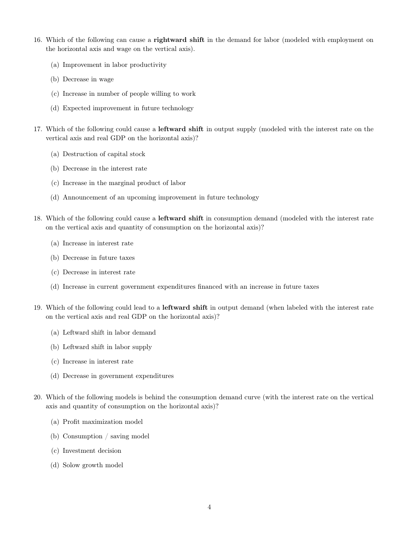- 16. Which of the following can cause a **rightward shift** in the demand for labor (modeled with employment on the horizontal axis and wage on the vertical axis).
	- (a) Improvement in labor productivity
	- (b) Decrease in wage
	- (c) Increase in number of people willing to work
	- (d) Expected improvement in future technology
- 17. Which of the following could cause a leftward shift in output supply (modeled with the interest rate on the vertical axis and real GDP on the horizontal axis)?
	- (a) Destruction of capital stock
	- (b) Decrease in the interest rate
	- (c) Increase in the marginal product of labor
	- (d) Announcement of an upcoming improvement in future technology
- 18. Which of the following could cause a leftward shift in consumption demand (modeled with the interest rate on the vertical axis and quantity of consumption on the horizontal axis)?
	- (a) Increase in interest rate
	- (b) Decrease in future taxes
	- (c) Decrease in interest rate
	- (d) Increase in current government expenditures financed with an increase in future taxes
- 19. Which of the following could lead to a leftward shift in output demand (when labeled with the interest rate on the vertical axis and real GDP on the horizontal axis)?
	- (a) Leftward shift in labor demand
	- (b) Leftward shift in labor supply
	- (c) Increase in interest rate
	- (d) Decrease in government expenditures
- 20. Which of the following models is behind the consumption demand curve (with the interest rate on the vertical axis and quantity of consumption on the horizontal axis)?
	- (a) Profit maximization model
	- (b) Consumption / saving model
	- (c) Investment decision
	- (d) Solow growth model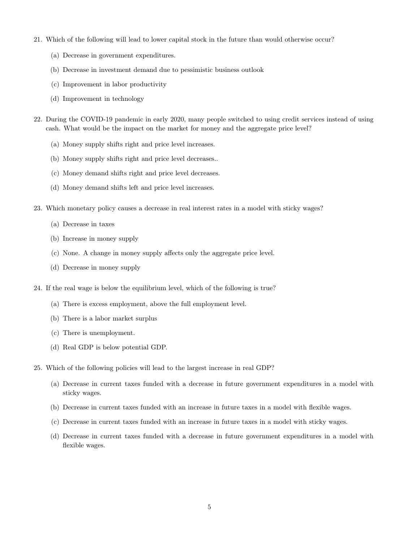- 21. Which of the following will lead to lower capital stock in the future than would otherwise occur?
	- (a) Decrease in government expenditures.
	- (b) Decrease in investment demand due to pessimistic business outlook
	- (c) Improvement in labor productivity
	- (d) Improvement in technology
- 22. During the COVID-19 pandemic in early 2020, many people switched to using credit services instead of using cash. What would be the impact on the market for money and the aggregate price level?
	- (a) Money supply shifts right and price level increases.
	- (b) Money supply shifts right and price level decreases..
	- (c) Money demand shifts right and price level decreases.
	- (d) Money demand shifts left and price level increases.
- 23. Which monetary policy causes a decrease in real interest rates in a model with sticky wages?
	- (a) Decrease in taxes
	- (b) Increase in money supply
	- (c) None. A change in money supply affects only the aggregate price level.
	- (d) Decrease in money supply
- 24. If the real wage is below the equilibrium level, which of the following is true?
	- (a) There is excess employment, above the full employment level.
	- (b) There is a labor market surplus
	- (c) There is unemployment.
	- (d) Real GDP is below potential GDP.
- 25. Which of the following policies will lead to the largest increase in real GDP?
	- (a) Decrease in current taxes funded with a decrease in future government expenditures in a model with sticky wages.
	- (b) Decrease in current taxes funded with an increase in future taxes in a model with flexible wages.
	- (c) Decrease in current taxes funded with an increase in future taxes in a model with sticky wages.
	- (d) Decrease in current taxes funded with a decrease in future government expenditures in a model with flexible wages.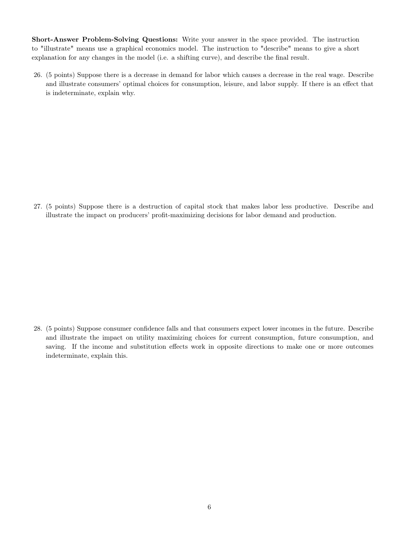Short-Answer Problem-Solving Questions: Write your answer in the space provided. The instruction to "illustrate" means use a graphical economics model. The instruction to "describe" means to give a short explanation for any changes in the model (i.e. a shifting curve), and describe the final result.

26. (5 points) Suppose there is a decrease in demand for labor which causes a decrease in the real wage. Describe and illustrate consumers' optimal choices for consumption, leisure, and labor supply. If there is an effect that is indeterminate, explain why.

27. (5 points) Suppose there is a destruction of capital stock that makes labor less productive. Describe and illustrate the impact on producers' profit-maximizing decisions for labor demand and production.

28. (5 points) Suppose consumer confidence falls and that consumers expect lower incomes in the future. Describe and illustrate the impact on utility maximizing choices for current consumption, future consumption, and saving. If the income and substitution effects work in opposite directions to make one or more outcomes indeterminate, explain this.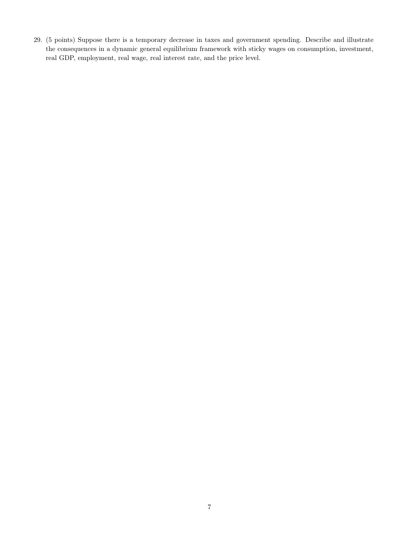29. (5 points) Suppose there is a temporary decrease in taxes and government spending. Describe and illustrate the consequences in a dynamic general equilibrium framework with sticky wages on consumption, investment, real GDP, employment, real wage, real interest rate, and the price level.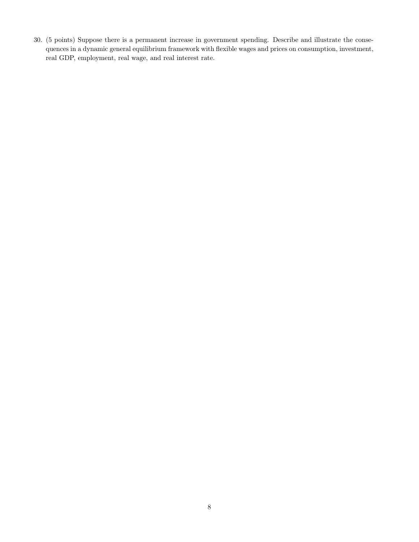30. (5 points) Suppose there is a permanent increase in government spending. Describe and illustrate the consequences in a dynamic general equilibrium framework with flexible wages and prices on consumption, investment, real GDP, employment, real wage, and real interest rate.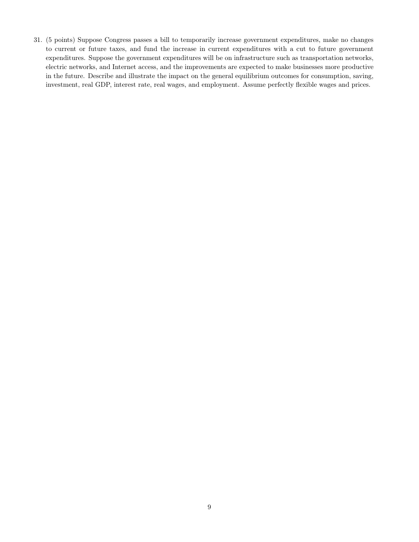31. (5 points) Suppose Congress passes a bill to temporarily increase government expenditures, make no changes to current or future taxes, and fund the increase in current expenditures with a cut to future government expenditures. Suppose the government expenditures will be on infrastructure such as transportation networks, electric networks, and Internet access, and the improvements are expected to make businesses more productive in the future. Describe and illustrate the impact on the general equilibrium outcomes for consumption, saving, investment, real GDP, interest rate, real wages, and employment. Assume perfectly flexible wages and prices.